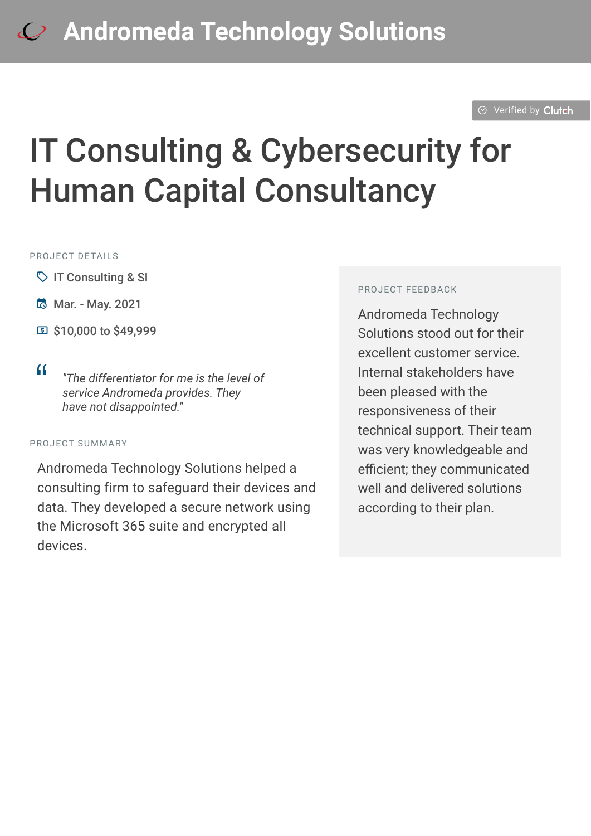#### $\odot$  [Verified by](https://clutch.co?utm_source=case_studies&utm_medium=verified_by_clutch) Clutch

# IT Consulting & Cybersecurity for Human Capital Consultancy

#### PROJECT DETAILS

- $\heartsuit$  IT Consulting & SI
- **B** Mar. May. 2021
- **E** \$10,000 to \$49,999
- 

<sup>D</sup> *"The differentiator for me is the level of service Andromeda provides. They have not disappointed."*

#### PROJECT SUMMARY

Andromeda Technology Solutions helped a consulting firm to safeguard their devices and data. They developed a secure network using the Microsoft 365 suite and encrypted all devices.

#### PROJECT FEEDBACK

Andromeda Technology Solutions stood out for their excellent customer service. Internal stakeholders have been pleased with the responsiveness of their technical support. Their team was very knowledgeable and efficient; they communicated well and delivered solutions according to their plan.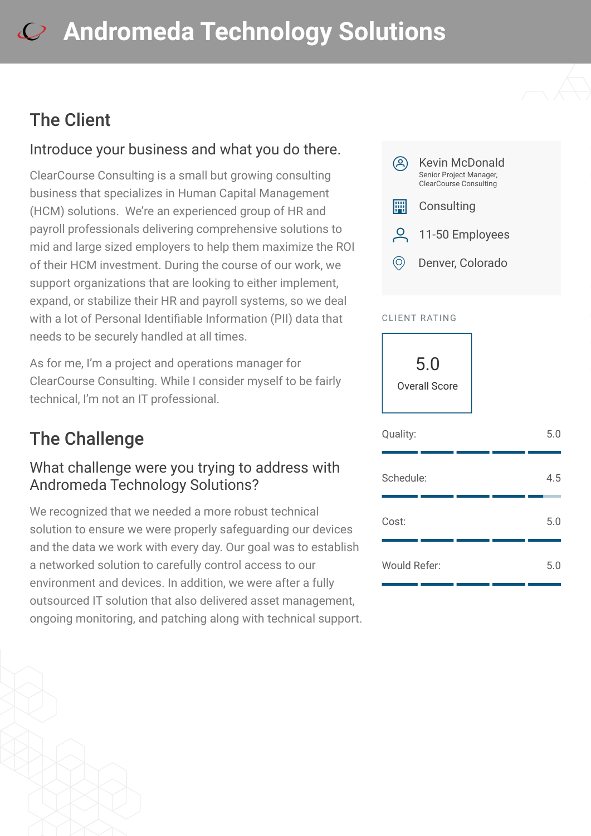## The Client

#### Introduce your business and what you do there.

ClearCourse Consulting is a small but growing consulting business that specializes in Human Capital Management (HCM) solutions. We're an experienced group of HR and payroll professionals delivering comprehensive solutions to mid and large sized employers to help them maximize the ROI of their HCM investment. During the course of our work, we support organizations that are looking to either implement, expand, or stabilize their HR and payroll systems, so we deal with a lot of Personal Identifiable Information (PII) data that needs to be securely handled at all times.

As for me, I'm a project and operations manager for ClearCourse Consulting. While I consider myself to be fairly technical, I'm not an IT professional.

## The Challenge

#### What challenge were you trying to address with Andromeda Technology Solutions?

We recognized that we needed a more robust technical solution to ensure we were properly safeguarding our devices and the data we work with every day. Our goal was to establish a networked solution to carefully control access to our environment and devices. In addition, we were after a fully outsourced IT solution that also delivered asset management, ongoing monitoring, and patching along with technical support.



#### CLIENT RATING

5.0 Overall Score

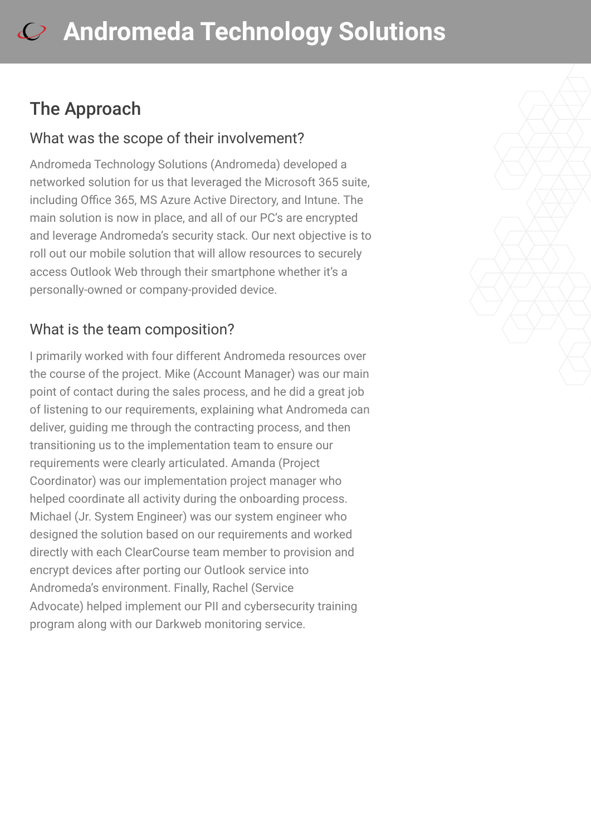## The Approach

#### What was the scope of their involvement?

Andromeda Technology Solutions (Andromeda) developed a networked solution for us that leveraged the Microsoft 365 suite, including Office 365, MS Azure Active Directory, and Intune. The main solution is now in place, and all of our PC's are encrypted and leverage Andromeda's security stack. Our next objective is to roll out our mobile solution that will allow resources to securely access Outlook Web through their smartphone whether it's a personally-owned or company-provided device.

### What is the team composition?

I primarily worked with four different Andromeda resources over the course of the project. Mike (Account Manager) was our main point of contact during the sales process, and he did a great job of listening to our requirements, explaining what Andromeda can deliver, guiding me through the contracting process, and then transitioning us to the implementation team to ensure our requirements were clearly articulated. Amanda (Project Coordinator) was our implementation project manager who helped coordinate all activity during the onboarding process. Michael (Jr. System Engineer) was our system engineer who designed the solution based on our requirements and worked directly with each ClearCourse team member to provision and encrypt devices after porting our Outlook service into Andromeda's environment. Finally, Rachel (Service Advocate) helped implement our PII and cybersecurity training program along with our Darkweb monitoring service.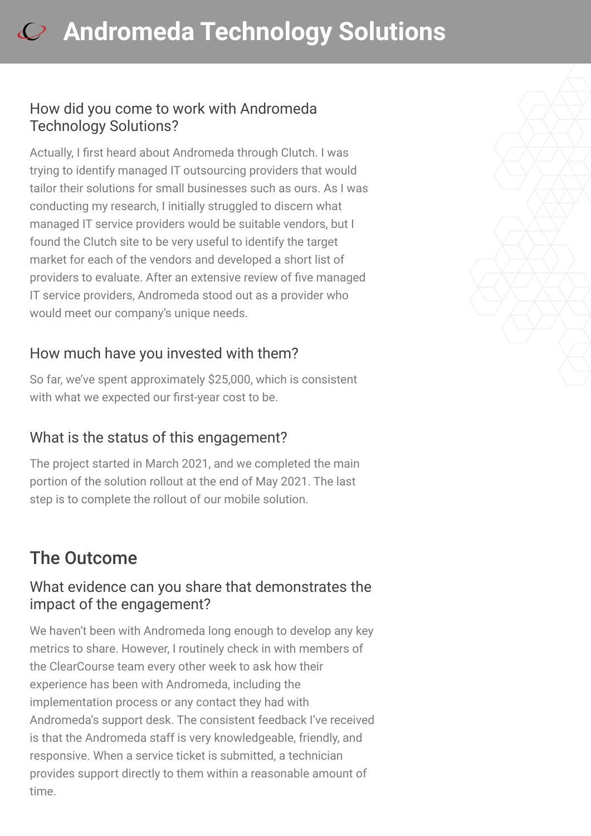#### How did you come to work with Andromeda Technology Solutions?

Actually, I first heard about Andromeda through Clutch. I was trying to identify managed IT outsourcing providers that would tailor their solutions for small businesses such as ours. As I was conducting my research, I initially struggled to discern what managed IT service providers would be suitable vendors, but I found the Clutch site to be very useful to identify the target market for each of the vendors and developed a short list of providers to evaluate. After an extensive review of five managed IT service providers, Andromeda stood out as a provider who would meet our company's unique needs.

### How much have you invested with them?

So far, we've spent approximately \$25,000, which is consistent with what we expected our first-year cost to be.

### What is the status of this engagement?

The project started in March 2021, and we completed the main portion of the solution rollout at the end of May 2021. The last step is to complete the rollout of our mobile solution.

## The Outcome

#### What evidence can you share that demonstrates the impact of the engagement?

We haven't been with Andromeda long enough to develop any key metrics to share. However, I routinely check in with members of the ClearCourse team every other week to ask how their experience has been with Andromeda, including the implementation process or any contact they had with Andromeda's support desk. The consistent feedback I've received is that the Andromeda staff is very knowledgeable, friendly, and responsive. When a service ticket is submitted, a technician provides support directly to them within a reasonable amount of time.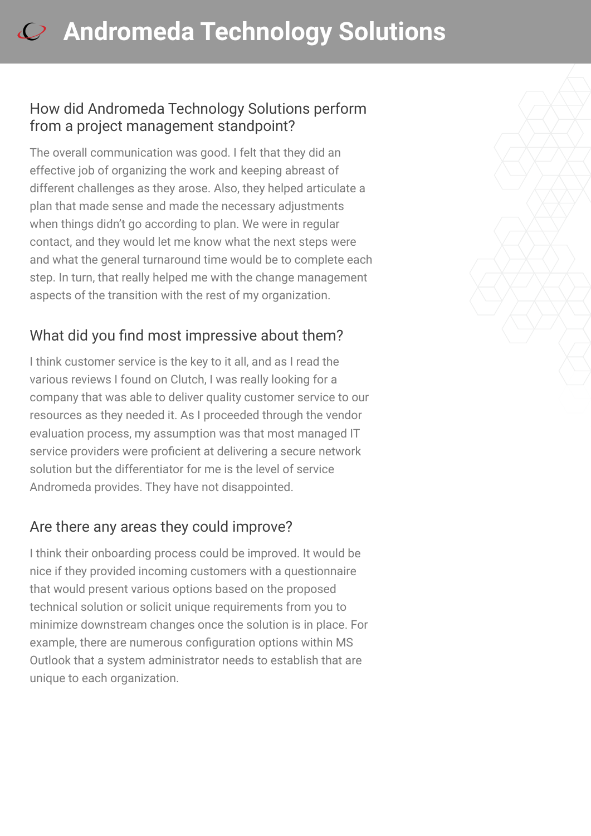#### How did Andromeda Technology Solutions perform from a project management standpoint?

The overall communication was good. I felt that they did an effective job of organizing the work and keeping abreast of different challenges as they arose. Also, they helped articulate a plan that made sense and made the necessary adjustments when things didn't go according to plan. We were in regular contact, and they would let me know what the next steps were and what the general turnaround time would be to complete each step. In turn, that really helped me with the change management aspects of the transition with the rest of my organization.

### What did you find most impressive about them?

I think customer service is the key to it all, and as I read the various reviews I found on Clutch, I was really looking for a company that was able to deliver quality customer service to our resources as they needed it. As I proceeded through the vendor evaluation process, my assumption was that most managed IT service providers were proficient at delivering a secure network solution but the differentiator for me is the level of service Andromeda provides. They have not disappointed.

### Are there any areas they could improve?

I think their onboarding process could be improved. It would be nice if they provided incoming customers with a questionnaire that would present various options based on the proposed technical solution or solicit unique requirements from you to minimize downstream changes once the solution is in place. For example, there are numerous configuration options within MS Outlook that a system administrator needs to establish that are unique to each organization.